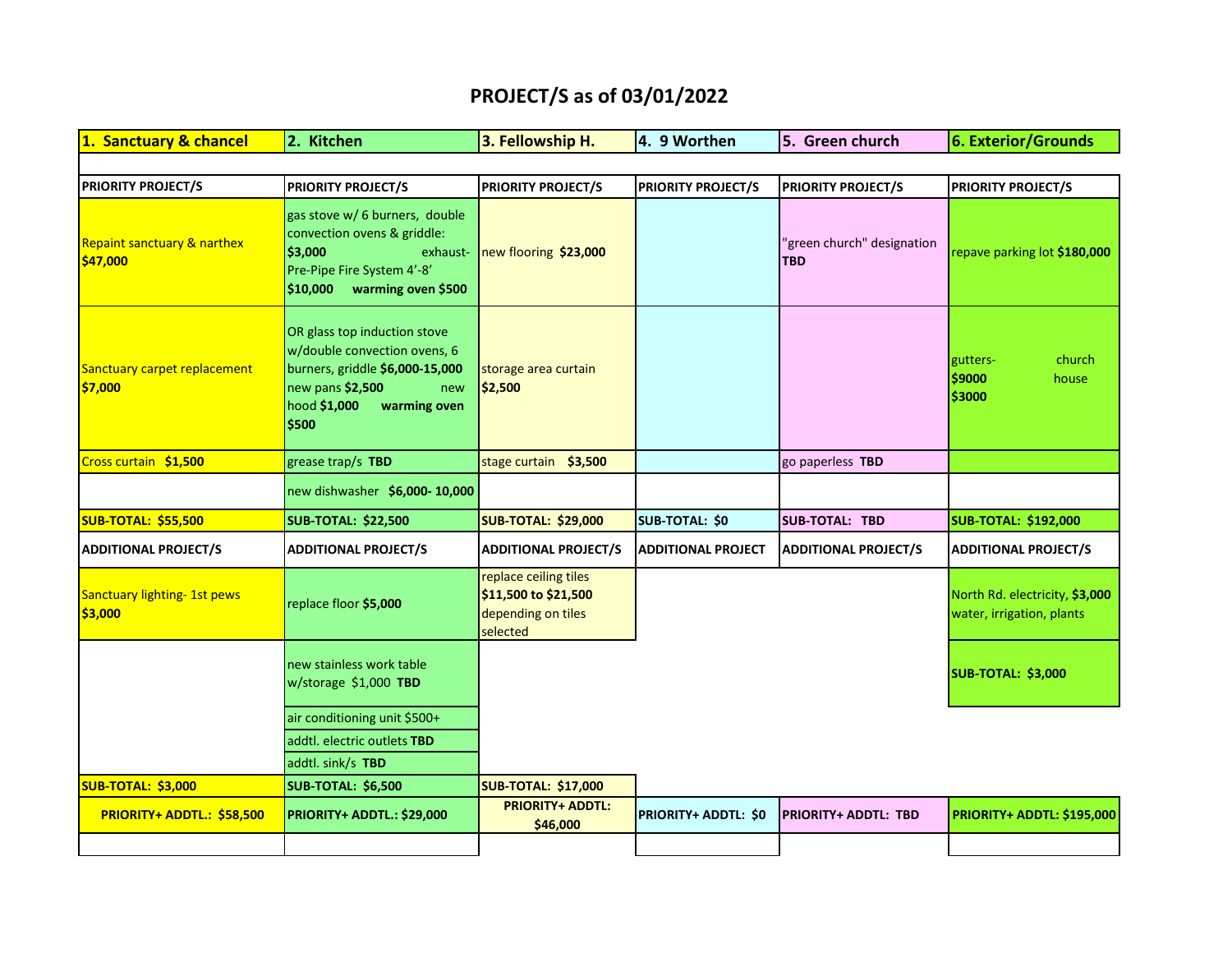## **PROJECT/S as of 03/01/2022**

| 1. Sanctuary & chancel                             | 2. Kitchen                                                                                                                                                          | 3. Fellowship H.                                                                | 4. 9 Worthen              | 5. Green church                          | 6. Exterior/Grounds                                         |
|----------------------------------------------------|---------------------------------------------------------------------------------------------------------------------------------------------------------------------|---------------------------------------------------------------------------------|---------------------------|------------------------------------------|-------------------------------------------------------------|
|                                                    |                                                                                                                                                                     |                                                                                 |                           |                                          |                                                             |
| <b>PRIORITY PROJECT/S</b>                          | <b>PRIORITY PROJECT/S</b>                                                                                                                                           | <b>PRIORITY PROJECT/S</b>                                                       | <b>PRIORITY PROJECT/S</b> | <b>PRIORITY PROJECT/S</b>                | <b>PRIORITY PROJECT/S</b>                                   |
| <b>Repaint sanctuary &amp; narthex</b><br>\$47,000 | gas stove w/ 6 burners, double<br>convection ovens & griddle:<br>\$3,000<br>exhaust-<br>Pre-Pipe Fire System 4'-8'<br>warming oven \$500<br>\$10,000                | new flooring \$23,000                                                           |                           | 'green church" designation<br><b>TBD</b> | repave parking lot \$180,000                                |
| Sanctuary carpet replacement<br>\$7,000            | OR glass top induction stove<br>w/double convection ovens, 6<br>burners, griddle \$6,000-15,000<br>new pans \$2,500<br>new<br>hood \$1,000<br>warming oven<br>\$500 | storage area curtain<br>\$2,500                                                 |                           |                                          | church<br>gutters-<br>\$9000<br>house<br>\$3000             |
| Cross curtain \$1,500                              | grease trap/s TBD                                                                                                                                                   | stage curtain \$3,500                                                           |                           | go paperless TBD                         |                                                             |
|                                                    | new dishwasher \$6,000-10,000                                                                                                                                       |                                                                                 |                           |                                          |                                                             |
| <b>SUB-TOTAL: \$55,500</b>                         | <b>SUB-TOTAL: \$22,500</b>                                                                                                                                          | <b>SUB-TOTAL: \$29,000</b>                                                      | SUB-TOTAL: \$0            | <b>SUB-TOTAL: TBD</b>                    | <b>SUB-TOTAL: \$192,000</b>                                 |
| <b>ADDITIONAL PROJECT/S</b>                        | <b>ADDITIONAL PROJECT/S</b>                                                                                                                                         | <b>ADDITIONAL PROJECT/S</b>                                                     | <b>ADDITIONAL PROJECT</b> | <b>ADDITIONAL PROJECT/S</b>              | <b>ADDITIONAL PROJECT/S</b>                                 |
| Sanctuary lighting- 1st pews<br>\$3,000            | replace floor \$5,000                                                                                                                                               | replace ceiling tiles<br>\$11,500 to \$21,500<br>depending on tiles<br>selected |                           |                                          | North Rd. electricity, \$3,000<br>water, irrigation, plants |
|                                                    | new stainless work table<br>w/storage \$1,000 TBD                                                                                                                   |                                                                                 |                           |                                          | <b>SUB-TOTAL: \$3,000</b>                                   |
|                                                    | air conditioning unit \$500+                                                                                                                                        |                                                                                 |                           |                                          |                                                             |
|                                                    | addtl. electric outlets TBD                                                                                                                                         |                                                                                 |                           |                                          |                                                             |
|                                                    | addtl. sink/s TBD                                                                                                                                                   |                                                                                 |                           |                                          |                                                             |
| <b>SUB-TOTAL: \$3,000</b>                          | <b>SUB-TOTAL: \$6,500</b>                                                                                                                                           | <b>SUB-TOTAL: \$17,000</b>                                                      |                           |                                          |                                                             |
| PRIORITY+ ADDTL.: \$58,500                         | PRIORITY+ ADDTL.: \$29,000                                                                                                                                          | <b>PRIORITY+ ADDTL:</b><br>\$46,000                                             | PRIORITY+ ADDTL: \$0      | <b>PRIORITY+ ADDTL: TBD</b>              | <b>PRIORITY+ ADDTL: \$195,000</b>                           |
|                                                    |                                                                                                                                                                     |                                                                                 |                           |                                          |                                                             |